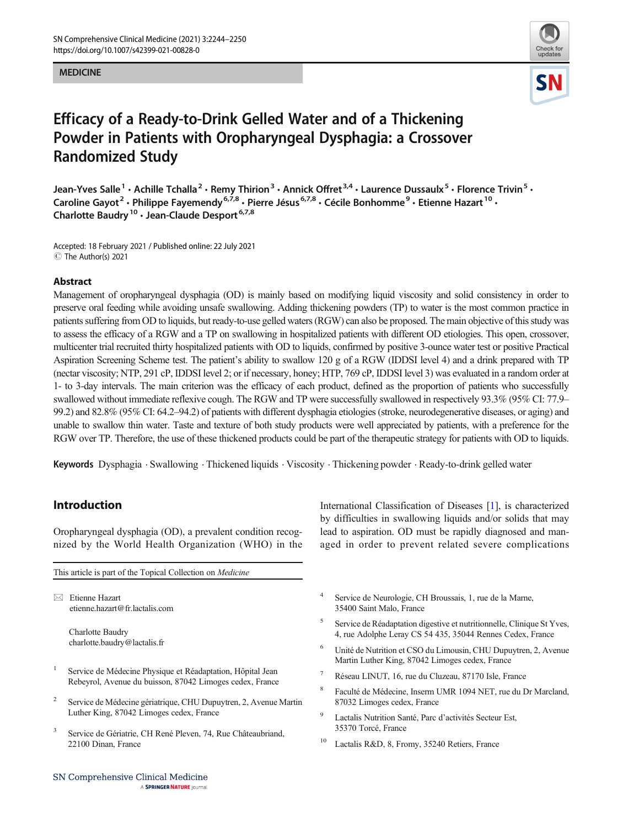#### MEDICINE



# Efficacy of a Ready-to-Drink Gelled Water and of a Thickening Powder in Patients with Oropharyngeal Dysphagia: a Crossover Randomized Study

Jean-Yves Salle<sup>1</sup> • Achille Tchalla<sup>2</sup> • Remy Thirion<sup>3</sup> • Annick Offret<sup>3,4</sup> • Laurence Dussaulx<sup>5</sup> • Florence Trivin<sup>5</sup> • Caroline Gayot<sup>2</sup> • Philippe Fayemendy<sup>6,7,8</sup> • Pierre Jésus<sup>6,7,8</sup> • Cécile Bonhomme<sup>9</sup> • Etienne Hazart <sup>10</sup> • Charlotte Baudry<sup>10</sup> · Jean-Claude Desport<sup>6,7,8</sup>

Accepted: 18 February 2021 / Published online: 22 July 2021  $\circledcirc$  The Author(s) 2021

#### Abstract

Management of oropharyngeal dysphagia (OD) is mainly based on modifying liquid viscosity and solid consistency in order to preserve oral feeding while avoiding unsafe swallowing. Adding thickening powders (TP) to water is the most common practice in patients suffering from OD to liquids, but ready-to-use gelled waters (RGW) can also be proposed. The main objective of this study was to assess the efficacy of a RGW and a TP on swallowing in hospitalized patients with different OD etiologies. This open, crossover, multicenter trial recruited thirty hospitalized patients with OD to liquids, confirmed by positive 3-ounce water test or positive Practical Aspiration Screening Scheme test. The patient's ability to swallow 120 g of a RGW (IDDSI level 4) and a drink prepared with TP (nectar viscosity; NTP, 291 cP, IDDSI level 2; or if necessary, honey; HTP, 769 cP, IDDSI level 3) was evaluated in a random order at 1- to 3-day intervals. The main criterion was the efficacy of each product, defined as the proportion of patients who successfully swallowed without immediate reflexive cough. The RGW and TP were successfully swallowed in respectively 93.3% (95% CI: 77.9– 99.2) and 82.8% (95% CI: 64.2–94.2) of patients with different dysphagia etiologies (stroke, neurodegenerative diseases, or aging) and unable to swallow thin water. Taste and texture of both study products were well appreciated by patients, with a preference for the RGW over TP. Therefore, the use of these thickened products could be part of the therapeutic strategy for patients with OD to liquids.

Keywords Dysphagia . Swallowing . Thickened liquids . Viscosity . Thickening powder . Ready-to-drink gelled water

## Introduction

Oropharyngeal dysphagia (OD), a prevalent condition recognized by the World Health Organization (WHO) in the

This article is part of the Topical Collection on Medicine

 $\boxtimes$  Etienne Hazart [etienne.hazart@fr.lactalis.com](mailto:etienne.hazart@fr.lactalis.com)

> Charlotte Baudry charlotte.baudry@lactalis.fr

- <sup>1</sup> Service de Médecine Physique et Réadaptation, Hôpital Jean Rebeyrol, Avenue du buisson, 87042 Limoges cedex, France
- <sup>2</sup> Service de Médecine gériatrique, CHU Dupuytren, 2, Avenue Martin Luther King, 87042 Limoges cedex, France
- <sup>3</sup> Service de Gériatrie, CH René Pleven, 74, Rue Châteaubriand, 22100 Dinan, France

International Classification of Diseases [\[1](#page-6-0)], is characterized by difficulties in swallowing liquids and/or solids that may lead to aspiration. OD must be rapidly diagnosed and managed in order to prevent related severe complications

- Service de Neurologie, CH Broussais, 1, rue de la Marne, 35400 Saint Malo, France
- <sup>5</sup> Service de Réadaptation digestive et nutritionnelle, Clinique St Yves, 4, rue Adolphe Leray CS 54 435, 35044 Rennes Cedex, France
- <sup>6</sup> Unité de Nutrition et CSO du Limousin, CHU Dupuytren, 2, Avenue Martin Luther King, 87042 Limoges cedex, France
- <sup>7</sup> Réseau LINUT, 16, rue du Cluzeau, 87170 Isle, France
- <sup>8</sup> Faculté de Médecine, Inserm UMR 1094 NET, rue du Dr Marcland, 87032 Limoges cedex, France
- Lactalis Nutrition Santé, Parc d'activités Secteur Est, 35370 Torcé, France
- Lactalis R&D, 8, Fromy, 35240 Retiers, France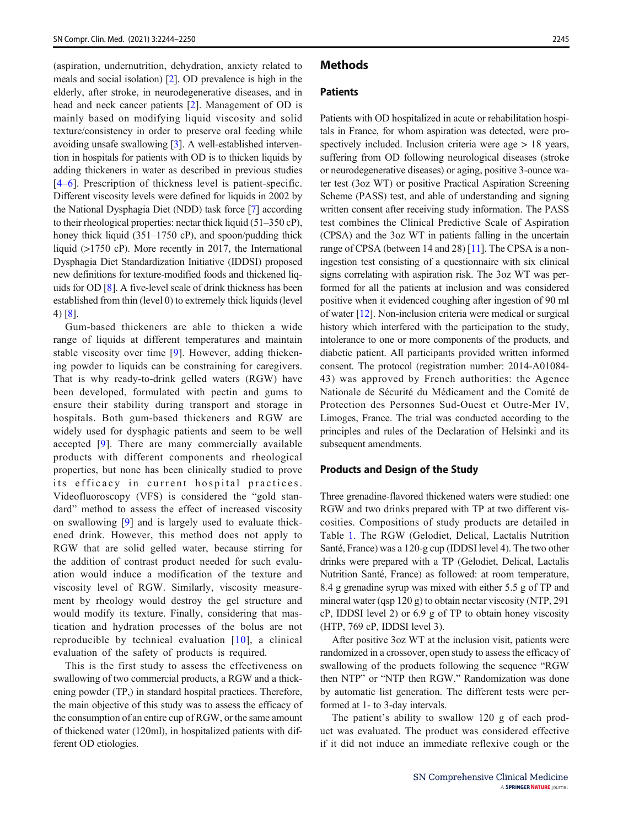(aspiration, undernutrition, dehydration, anxiety related to meals and social isolation) [[2](#page-6-0)]. OD prevalence is high in the elderly, after stroke, in neurodegenerative diseases, and in head and neck cancer patients [[2](#page-6-0)]. Management of OD is mainly based on modifying liquid viscosity and solid texture/consistency in order to preserve oral feeding while avoiding unsafe swallowing [\[3](#page-6-0)]. A well-established intervention in hospitals for patients with OD is to thicken liquids by adding thickeners in water as described in previous studies [\[4](#page-6-0)–[6\]](#page-6-0). Prescription of thickness level is patient-specific. Different viscosity levels were defined for liquids in 2002 by the National Dysphagia Diet (NDD) task force [\[7\]](#page-6-0) according to their rheological properties: nectar thick liquid (51–350 cP), honey thick liquid (351–1750 cP), and spoon/pudding thick liquid (>1750 cP). More recently in 2017, the International Dysphagia Diet Standardization Initiative (IDDSI) proposed new definitions for texture-modified foods and thickened liquids for OD [\[8](#page-6-0)]. A five-level scale of drink thickness has been established from thin (level 0) to extremely thick liquids (level 4) [[8\]](#page-6-0).

Gum-based thickeners are able to thicken a wide range of liquids at different temperatures and maintain stable viscosity over time [[9\]](#page-6-0). However, adding thickening powder to liquids can be constraining for caregivers. That is why ready-to-drink gelled waters (RGW) have been developed, formulated with pectin and gums to ensure their stability during transport and storage in hospitals. Both gum-based thickeners and RGW are widely used for dysphagic patients and seem to be well accepted [\[9](#page-6-0)]. There are many commercially available products with different components and rheological properties, but none has been clinically studied to prove its efficacy in current hospital practices. Videofluoroscopy (VFS) is considered the "gold standard" method to assess the effect of increased viscosity on swallowing [\[9](#page-6-0)] and is largely used to evaluate thickened drink. However, this method does not apply to RGW that are solid gelled water, because stirring for the addition of contrast product needed for such evaluation would induce a modification of the texture and viscosity level of RGW. Similarly, viscosity measurement by rheology would destroy the gel structure and would modify its texture. Finally, considering that mastication and hydration processes of the bolus are not reproducible by technical evaluation [[10](#page-6-0)], a clinical evaluation of the safety of products is required.

This is the first study to assess the effectiveness on swallowing of two commercial products, a RGW and a thickening powder (TP,) in standard hospital practices. Therefore, the main objective of this study was to assess the efficacy of the consumption of an entire cup of RGW, or the same amount of thickened water (120ml), in hospitalized patients with different OD etiologies.

#### **Methods**

## **Patients**

Patients with OD hospitalized in acute or rehabilitation hospitals in France, for whom aspiration was detected, were prospectively included. Inclusion criteria were age > 18 years, suffering from OD following neurological diseases (stroke or neurodegenerative diseases) or aging, positive 3-ounce water test (3oz WT) or positive Practical Aspiration Screening Scheme (PASS) test, and able of understanding and signing written consent after receiving study information. The PASS test combines the Clinical Predictive Scale of Aspiration (CPSA) and the 3oz WT in patients falling in the uncertain range of CPSA (between 14 and 28) [\[11](#page-6-0)]. The CPSA is a noningestion test consisting of a questionnaire with six clinical signs correlating with aspiration risk. The 3oz WT was performed for all the patients at inclusion and was considered positive when it evidenced coughing after ingestion of 90 ml of water [[12](#page-6-0)]. Non-inclusion criteria were medical or surgical history which interfered with the participation to the study, intolerance to one or more components of the products, and diabetic patient. All participants provided written informed consent. The protocol (registration number: 2014-A01084- 43) was approved by French authorities: the Agence Nationale de Sécurité du Médicament and the Comité de Protection des Personnes Sud-Ouest et Outre-Mer IV, Limoges, France. The trial was conducted according to the principles and rules of the Declaration of Helsinki and its subsequent amendments.

#### Products and Design of the Study

Three grenadine-flavored thickened waters were studied: one RGW and two drinks prepared with TP at two different viscosities. Compositions of study products are detailed in Table [1](#page-2-0). The RGW (Gelodiet, Delical, Lactalis Nutrition Santé, France) was a 120-g cup (IDDSI level 4). The two other drinks were prepared with a TP (Gelodiet, Delical, Lactalis Nutrition Santé, France) as followed: at room temperature, 8.4 g grenadine syrup was mixed with either 5.5 g of TP and mineral water (qsp 120 g) to obtain nectar viscosity (NTP, 291 cP, IDDSI level 2) or 6.9 g of TP to obtain honey viscosity (HTP, 769 cP, IDDSI level 3).

After positive 3oz WT at the inclusion visit, patients were randomized in a crossover, open study to assess the efficacy of swallowing of the products following the sequence "RGW then NTP" or "NTP then RGW." Randomization was done by automatic list generation. The different tests were performed at 1- to 3-day intervals.

The patient's ability to swallow 120 g of each product was evaluated. The product was considered effective if it did not induce an immediate reflexive cough or the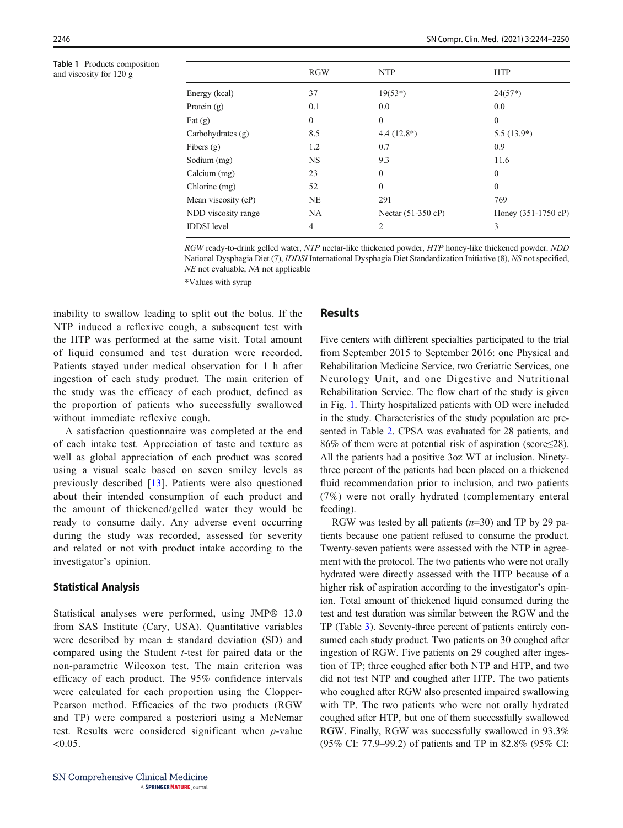<span id="page-2-0"></span>Table 1 Products composition and viscosity for 120 g

|                     | <b>RGW</b>   | <b>NTP</b>           | <b>HTP</b>          |
|---------------------|--------------|----------------------|---------------------|
| Energy (kcal)       | 37           | $19(53*)$            | $24(57*)$           |
| Protein $(g)$       | 0.1          | 0.0                  | 0.0                 |
| Fat $(g)$           | $\mathbf{0}$ | $\mathbf{0}$         | $\mathbf{0}$        |
| Carbohydrates (g)   | 8.5          | $4.4(12.8^*)$        | $5.5(13.9*)$        |
| Fibers $(g)$        | 1.2          | 0.7                  | 0.9                 |
| Sodium (mg)         | <b>NS</b>    | 9.3                  | 11.6                |
| Calcium (mg)        | 23           | $\Omega$             | $\boldsymbol{0}$    |
| Chlorine (mg)       | 52           | $\mathbf{0}$         | $\boldsymbol{0}$    |
| Mean viscosity (cP) | NE           | 291                  | 769                 |
| NDD viscosity range | NA           | Nectar $(51-350$ cP) | Honey (351-1750 cP) |
| <b>IDDSI</b> level  | 4            | 2                    | 3                   |

RGW ready-to-drink gelled water, NTP nectar-like thickened powder, HTP honey-like thickened powder. NDD National Dysphagia Diet (7), IDDSI International Dysphagia Diet Standardization Initiative (8), NS not specified, NE not evaluable, NA not applicable

\*Values with syrup

inability to swallow leading to split out the bolus. If the NTP induced a reflexive cough, a subsequent test with the HTP was performed at the same visit. Total amount of liquid consumed and test duration were recorded. Patients stayed under medical observation for 1 h after ingestion of each study product. The main criterion of the study was the efficacy of each product, defined as the proportion of patients who successfully swallowed without immediate reflexive cough.

A satisfaction questionnaire was completed at the end of each intake test. Appreciation of taste and texture as well as global appreciation of each product was scored using a visual scale based on seven smiley levels as previously described [\[13\]](#page-6-0). Patients were also questioned about their intended consumption of each product and the amount of thickened/gelled water they would be ready to consume daily. Any adverse event occurring during the study was recorded, assessed for severity and related or not with product intake according to the investigator's opinion.

#### Statistical Analysis

Statistical analyses were performed, using JMP® 13.0 from SAS Institute (Cary, USA). Quantitative variables were described by mean  $\pm$  standard deviation (SD) and compared using the Student t-test for paired data or the non-parametric Wilcoxon test. The main criterion was efficacy of each product. The 95% confidence intervals were calculated for each proportion using the Clopper-Pearson method. Efficacies of the two products (RGW and TP) were compared a posteriori using a McNemar test. Results were considered significant when p-value  $< 0.05$ .

#### Results

Five centers with different specialties participated to the trial from September 2015 to September 2016: one Physical and Rehabilitation Medicine Service, two Geriatric Services, one Neurology Unit, and one Digestive and Nutritional Rehabilitation Service. The flow chart of the study is given in Fig. [1](#page-4-0). Thirty hospitalized patients with OD were included in the study. Characteristics of the study population are presented in Table [2](#page-3-0). CPSA was evaluated for 28 patients, and 86% of them were at potential risk of aspiration (score≤28). All the patients had a positive 3oz WT at inclusion. Ninetythree percent of the patients had been placed on a thickened fluid recommendation prior to inclusion, and two patients (7%) were not orally hydrated (complementary enteral feeding).

RGW was tested by all patients  $(n=30)$  and TP by 29 patients because one patient refused to consume the product. Twenty-seven patients were assessed with the NTP in agreement with the protocol. The two patients who were not orally hydrated were directly assessed with the HTP because of a higher risk of aspiration according to the investigator's opinion. Total amount of thickened liquid consumed during the test and test duration was similar between the RGW and the TP (Table [3\)](#page-4-0). Seventy-three percent of patients entirely consumed each study product. Two patients on 30 coughed after ingestion of RGW. Five patients on 29 coughed after ingestion of TP; three coughed after both NTP and HTP, and two did not test NTP and coughed after HTP. The two patients who coughed after RGW also presented impaired swallowing with TP. The two patients who were not orally hydrated coughed after HTP, but one of them successfully swallowed RGW. Finally, RGW was successfully swallowed in 93.3% (95% CI: 77.9–99.2) of patients and TP in 82.8% (95% CI: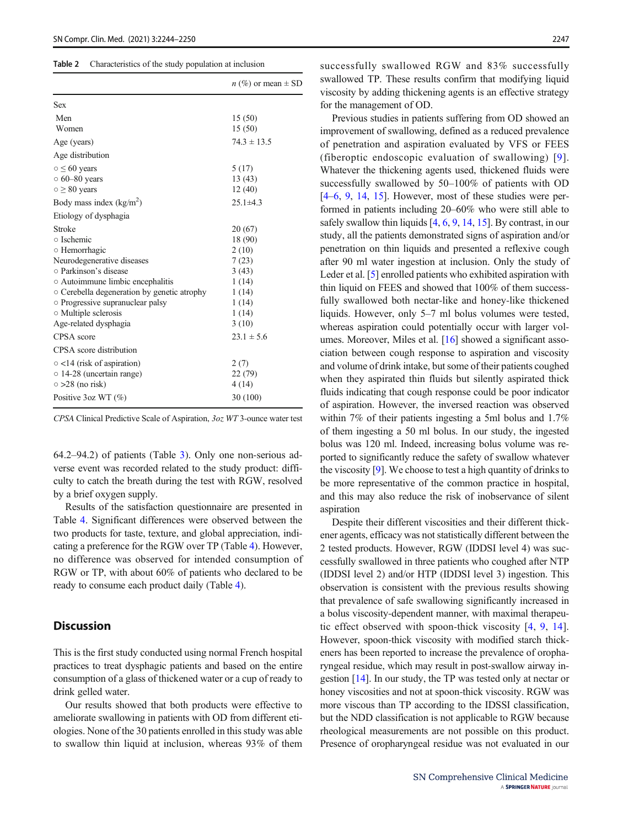#### <span id="page-3-0"></span>Table 2 Characteristics of the study population at inclusion

|                                             | $n$ (%) or mean $\pm$ SD |
|---------------------------------------------|--------------------------|
| <b>Sex</b>                                  |                          |
| Men                                         | 15(50)                   |
| Women                                       | 15(50)                   |
| Age (years)                                 | $74.3 \pm 13.5$          |
| Age distribution                            |                          |
| $\circ \leq 60$ years                       | 5(17)                    |
| $\circ$ 60–80 years                         | 13(43)                   |
| $\circ \geq 80$ years                       | 12(40)                   |
| Body mass index $(kg/m^2)$                  | $25.1 \pm 4.3$           |
| Etiology of dysphagia                       |                          |
| Stroke                                      | 20 (67)                  |
| ○ Ischemic                                  | 18 (90)                  |
| ○ Hemorrhagic                               | 2(10)                    |
| Neurodegenerative diseases                  | 7(23)                    |
| ○ Parkinson's disease                       | 3(43)                    |
| ○ Autoimmune limbic encephalitis            | 1(14)                    |
| ○ Cerebella degeneration by genetic atrophy | 1(14)                    |
| • Progressive supranuclear palsy            | 1(14)                    |
| $\circ$ Multiple sclerosis                  | 1(14)                    |
| Age-related dysphagia                       | 3(10)                    |
| CPSA score                                  | $23.1 \pm 5.6$           |
| CPSA score distribution                     |                          |
| $\circ$ <14 (risk of aspiration)            | 2(7)                     |
| $\circ$ 14-28 (uncertain range)             | 22 (79)                  |
| $\circ$ >28 (no risk)                       | 4(14)                    |
| Positive $3oz WT$ (%)                       | 30 (100)                 |

CPSA Clinical Predictive Scale of Aspiration, 3oz WT 3-ounce water test

64.2–94.2) of patients (Table [3\)](#page-4-0). Only one non-serious adverse event was recorded related to the study product: difficulty to catch the breath during the test with RGW, resolved by a brief oxygen supply.

Results of the satisfaction questionnaire are presented in Table [4.](#page-5-0) Significant differences were observed between the two products for taste, texture, and global appreciation, indicating a preference for the RGW over TP (Table [4](#page-5-0)). However, no difference was observed for intended consumption of RGW or TP, with about 60% of patients who declared to be ready to consume each product daily (Table [4\)](#page-5-0).

### **Discussion**

This is the first study conducted using normal French hospital practices to treat dysphagic patients and based on the entire consumption of a glass of thickened water or a cup of ready to drink gelled water.

Our results showed that both products were effective to ameliorate swallowing in patients with OD from different etiologies. None of the 30 patients enrolled in this study was able to swallow thin liquid at inclusion, whereas 93% of them

successfully swallowed RGW and 83% successfully swallowed TP. These results confirm that modifying liquid viscosity by adding thickening agents is an effective strategy for the management of OD.

Previous studies in patients suffering from OD showed an improvement of swallowing, defined as a reduced prevalence of penetration and aspiration evaluated by VFS or FEES (fiberoptic endoscopic evaluation of swallowing) [[9](#page-6-0)]. Whatever the thickening agents used, thickened fluids were successfully swallowed by 50–100% of patients with OD [\[4](#page-6-0)–[6,](#page-6-0) [9,](#page-6-0) [14,](#page-6-0) [15\]](#page-6-0). However, most of these studies were performed in patients including 20–60% who were still able to safely swallow thin liquids [[4,](#page-6-0) [6](#page-6-0), [9](#page-6-0), [14,](#page-6-0) [15\]](#page-6-0). By contrast, in our study, all the patients demonstrated signs of aspiration and/or penetration on thin liquids and presented a reflexive cough after 90 ml water ingestion at inclusion. Only the study of Leder et al. [\[5](#page-6-0)] enrolled patients who exhibited aspiration with thin liquid on FEES and showed that 100% of them successfully swallowed both nectar-like and honey-like thickened liquids. However, only 5–7 ml bolus volumes were tested, whereas aspiration could potentially occur with larger volumes. Moreover, Miles et al. [\[16](#page-6-0)] showed a significant association between cough response to aspiration and viscosity and volume of drink intake, but some of their patients coughed when they aspirated thin fluids but silently aspirated thick fluids indicating that cough response could be poor indicator of aspiration. However, the inversed reaction was observed within 7% of their patients ingesting a 5ml bolus and 1.7% of them ingesting a 50 ml bolus. In our study, the ingested bolus was 120 ml. Indeed, increasing bolus volume was reported to significantly reduce the safety of swallow whatever the viscosity [\[9](#page-6-0)]. We choose to test a high quantity of drinks to be more representative of the common practice in hospital, and this may also reduce the risk of inobservance of silent aspiration

Despite their different viscosities and their different thickener agents, efficacy was not statistically different between the 2 tested products. However, RGW (IDDSI level 4) was successfully swallowed in three patients who coughed after NTP (IDDSI level 2) and/or HTP (IDDSI level 3) ingestion. This observation is consistent with the previous results showing that prevalence of safe swallowing significantly increased in a bolus viscosity-dependent manner, with maximal therapeutic effect observed with spoon-thick viscosity [[4](#page-6-0), [9,](#page-6-0) [14](#page-6-0)]. However, spoon-thick viscosity with modified starch thickeners has been reported to increase the prevalence of oropharyngeal residue, which may result in post-swallow airway ingestion [[14\]](#page-6-0). In our study, the TP was tested only at nectar or honey viscosities and not at spoon-thick viscosity. RGW was more viscous than TP according to the IDSSI classification, but the NDD classification is not applicable to RGW because rheological measurements are not possible on this product. Presence of oropharyngeal residue was not evaluated in our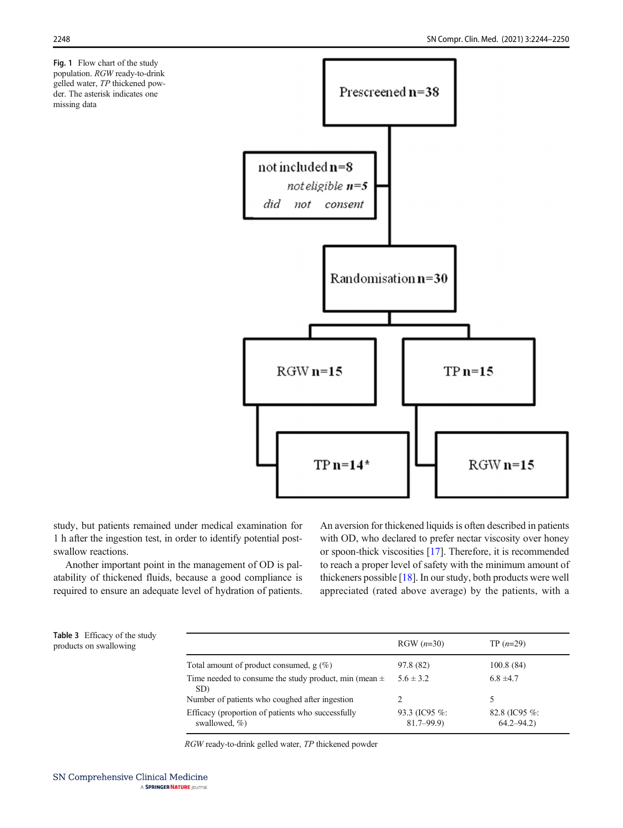<span id="page-4-0"></span>Fig. 1 Flow chart of the study population. RGW ready-to-drink gelled water, TP thickened powder. The asterisk indicates one missing data



study, but patients remained under medical examination for 1 h after the ingestion test, in order to identify potential postswallow reactions.

Another important point in the management of OD is palatability of thickened fluids, because a good compliance is required to ensure an adequate level of hydration of patients. An aversion for thickened liquids is often described in patients with OD, who declared to prefer nectar viscosity over honey or spoon-thick viscosities [\[17\]](#page-6-0). Therefore, it is recommended to reach a proper level of safety with the minimum amount of thickeners possible [\[18](#page-6-0)]. In our study, both products were well appreciated (rated above average) by the patients, with a

| <b>Table 3</b> Efficacy of the study |
|--------------------------------------|
| products on swallowing               |

| products on swallowing |                                                                        | $RGW (n=30)$                   | $TP(n=29)$                         |
|------------------------|------------------------------------------------------------------------|--------------------------------|------------------------------------|
|                        | Total amount of product consumed, $g(\%)$                              | 97.8 (82)                      | 100.8(84)                          |
|                        | Time needed to consume the study product, min (mean $\pm$<br>SD)       | $5.6 \pm 3.2$                  | $6.8 \pm 4.7$                      |
|                        | Number of patients who coughed after ingestion                         |                                |                                    |
|                        | Efficacy (proportion of patients who successfully<br>swallowed, $\%$ ) | 93.3 (IC95 %:<br>$81.7 - 99.9$ | 82.8 (IC95 $\%$ :<br>$64.2 - 94.2$ |

RGW ready-to-drink gelled water, TP thickened powder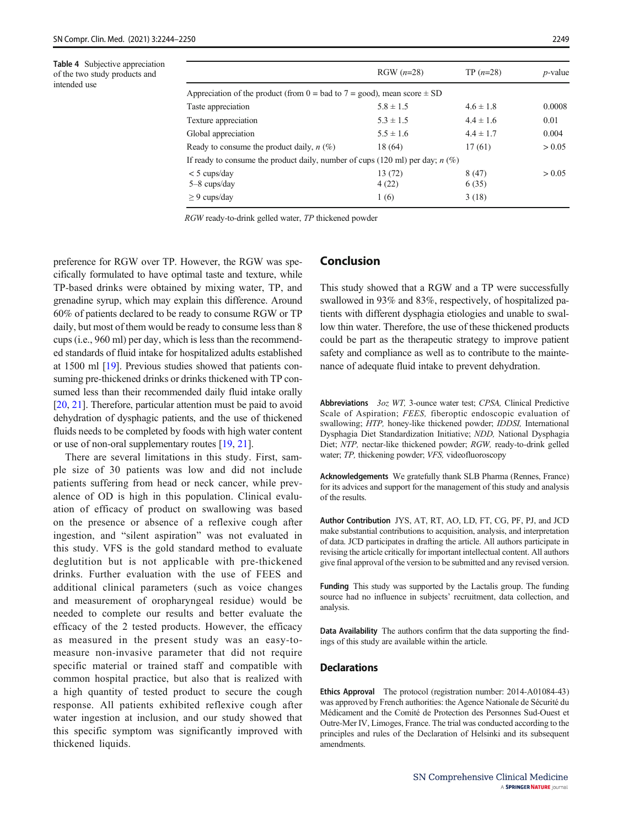<span id="page-5-0"></span>Table 4 Subjective appreciation of the two study products and intended use

|                                                                                 | $RGW (n=28)$  | $TP(n=28)$    | $p$ -value |
|---------------------------------------------------------------------------------|---------------|---------------|------------|
| Appreciation of the product (from $0 =$ bad to $7 =$ good), mean score $\pm$ SD |               |               |            |
| Taste appreciation                                                              | $5.8 \pm 1.5$ | $4.6 \pm 1.8$ | 0.0008     |
| Texture appreciation                                                            | $5.3 \pm 1.5$ | $4.4 \pm 1.6$ | 0.01       |
| Global appreciation                                                             | $5.5 \pm 1.6$ | $4.4 \pm 1.7$ | 0.004      |
| Ready to consume the product daily, $n$ (%)                                     | 18 (64)       | 17(61)        | > 0.05     |
| If ready to consume the product daily, number of cups (120 ml) per day; $n(\%)$ |               |               |            |
| $<$ 5 cups/day                                                                  | 13(72)        | 8(47)         | > 0.05     |
| $5 - 8$ cups/day                                                                | 4(22)         | 6(35)         |            |
| $\geq$ 9 cups/day                                                               | 1(6)          | 3(18)         |            |

RGW ready-to-drink gelled water, TP thickened powder

preference for RGW over TP. However, the RGW was specifically formulated to have optimal taste and texture, while TP-based drinks were obtained by mixing water, TP, and grenadine syrup, which may explain this difference. Around 60% of patients declared to be ready to consume RGW or TP daily, but most of them would be ready to consume less than 8 cups (i.e., 960 ml) per day, which is less than the recommended standards of fluid intake for hospitalized adults established at 1500 ml [\[19\]](#page-6-0). Previous studies showed that patients consuming pre-thickened drinks or drinks thickened with TP consumed less than their recommended daily fluid intake orally [\[20,](#page-6-0) [21\]](#page-6-0). Therefore, particular attention must be paid to avoid dehydration of dysphagic patients, and the use of thickened fluids needs to be completed by foods with high water content or use of non-oral supplementary routes [\[19](#page-6-0), [21](#page-6-0)].

There are several limitations in this study. First, sample size of 30 patients was low and did not include patients suffering from head or neck cancer, while prevalence of OD is high in this population. Clinical evaluation of efficacy of product on swallowing was based on the presence or absence of a reflexive cough after ingestion, and "silent aspiration" was not evaluated in this study. VFS is the gold standard method to evaluate deglutition but is not applicable with pre-thickened drinks. Further evaluation with the use of FEES and additional clinical parameters (such as voice changes and measurement of oropharyngeal residue) would be needed to complete our results and better evaluate the efficacy of the 2 tested products. However, the efficacy as measured in the present study was an easy-tomeasure non-invasive parameter that did not require specific material or trained staff and compatible with common hospital practice, but also that is realized with a high quantity of tested product to secure the cough response. All patients exhibited reflexive cough after water ingestion at inclusion, and our study showed that this specific symptom was significantly improved with thickened liquids.

# Conclusion

This study showed that a RGW and a TP were successfully swallowed in 93% and 83%, respectively, of hospitalized patients with different dysphagia etiologies and unable to swallow thin water. Therefore, the use of these thickened products could be part as the therapeutic strategy to improve patient safety and compliance as well as to contribute to the maintenance of adequate fluid intake to prevent dehydration.

Abbreviations 3oz WT, 3-ounce water test; CPSA, Clinical Predictive Scale of Aspiration; FEES, fiberoptic endoscopic evaluation of swallowing; HTP, honey-like thickened powder; IDDSI, International Dysphagia Diet Standardization Initiative; NDD, National Dysphagia Diet; NTP, nectar-like thickened powder; RGW, ready-to-drink gelled water; TP, thickening powder; VFS, videofluoroscopy

Acknowledgements We gratefully thank SLB Pharma (Rennes, France) for its advices and support for the management of this study and analysis of the results.

Author Contribution JYS, AT, RT, AO, LD, FT, CG, PF, PJ, and JCD make substantial contributions to acquisition, analysis, and interpretation of data. JCD participates in drafting the article. All authors participate in revising the article critically for important intellectual content. All authors give final approval of the version to be submitted and any revised version.

Funding This study was supported by the Lactalis group. The funding source had no influence in subjects' recruitment, data collection, and analysis.

Data Availability The authors confirm that the data supporting the findings of this study are available within the article.

### **Declarations**

Ethics Approval The protocol (registration number: 2014-A01084-43) was approved by French authorities: the Agence Nationale de Sécurité du Médicament and the Comité de Protection des Personnes Sud-Ouest et Outre-Mer IV, Limoges, France. The trial was conducted according to the principles and rules of the Declaration of Helsinki and its subsequent amendments.